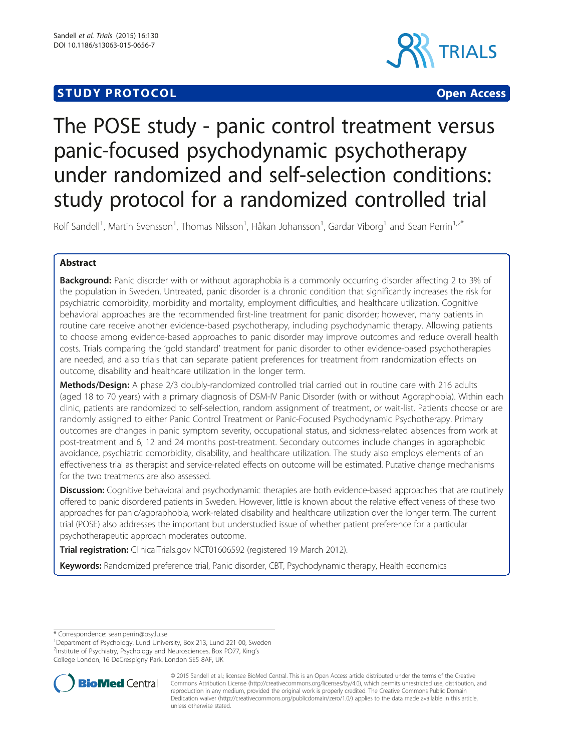# **STUDY PROTOCOL CONSUMING THE CONSUMING OPEN ACCESS**



# The POSE study - panic control treatment versus panic-focused psychodynamic psychotherapy under randomized and self-selection conditions: study protocol for a randomized controlled trial

Rolf Sandell<sup>1</sup>, Martin Svensson<sup>1</sup>, Thomas Nilsson<sup>1</sup>, Håkan Johansson<sup>1</sup>, Gardar Viborg<sup>1</sup> and Sean Perrin<sup>1,2\*</sup>

# Abstract

**Background:** Panic disorder with or without agoraphobia is a commonly occurring disorder affecting 2 to 3% of the population in Sweden. Untreated, panic disorder is a chronic condition that significantly increases the risk for psychiatric comorbidity, morbidity and mortality, employment difficulties, and healthcare utilization. Cognitive behavioral approaches are the recommended first-line treatment for panic disorder; however, many patients in routine care receive another evidence-based psychotherapy, including psychodynamic therapy. Allowing patients to choose among evidence-based approaches to panic disorder may improve outcomes and reduce overall health costs. Trials comparing the 'gold standard' treatment for panic disorder to other evidence-based psychotherapies are needed, and also trials that can separate patient preferences for treatment from randomization effects on outcome, disability and healthcare utilization in the longer term.

Methods/Design: A phase 2/3 doubly-randomized controlled trial carried out in routine care with 216 adults (aged 18 to 70 years) with a primary diagnosis of DSM-IV Panic Disorder (with or without Agoraphobia). Within each clinic, patients are randomized to self-selection, random assignment of treatment, or wait-list. Patients choose or are randomly assigned to either Panic Control Treatment or Panic-Focused Psychodynamic Psychotherapy. Primary outcomes are changes in panic symptom severity, occupational status, and sickness-related absences from work at post-treatment and 6, 12 and 24 months post-treatment. Secondary outcomes include changes in agoraphobic avoidance, psychiatric comorbidity, disability, and healthcare utilization. The study also employs elements of an effectiveness trial as therapist and service-related effects on outcome will be estimated. Putative change mechanisms for the two treatments are also assessed.

Discussion: Cognitive behavioral and psychodynamic therapies are both evidence-based approaches that are routinely offered to panic disordered patients in Sweden. However, little is known about the relative effectiveness of these two approaches for panic/agoraphobia, work-related disability and healthcare utilization over the longer term. The current trial (POSE) also addresses the important but understudied issue of whether patient preference for a particular psychotherapeutic approach moderates outcome.

Trial registration: ClinicalTrials.gov [NCT01606592](https://clinicaltrials.gov/show/NCT01606592) (registered 19 March 2012).

Keywords: Randomized preference trial, Panic disorder, CBT, Psychodynamic therapy, Health economics

\* Correspondence: [sean.perrin@psy.lu.se](mailto:sean.perrin@psy.lu.se) <sup>1</sup>

<sup>1</sup>Department of Psychology, Lund University, Box 213, Lund 221 00, Sweden 2 Institute of Psychiatry, Psychology and Neurosciences, Box PO77, King's

College London, 16 DeCrespigny Park, London SE5 8AF, UK



© 2015 Sandell et al.; licensee BioMed Central. This is an Open Access article distributed under the terms of the Creative Commons Attribution License [\(http://creativecommons.org/licenses/by/4.0\)](http://creativecommons.org/licenses/by/4.0), which permits unrestricted use, distribution, and reproduction in any medium, provided the original work is properly credited. The Creative Commons Public Domain Dedication waiver [\(http://creativecommons.org/publicdomain/zero/1.0/](http://creativecommons.org/publicdomain/zero/1.0/)) applies to the data made available in this article, unless otherwise stated.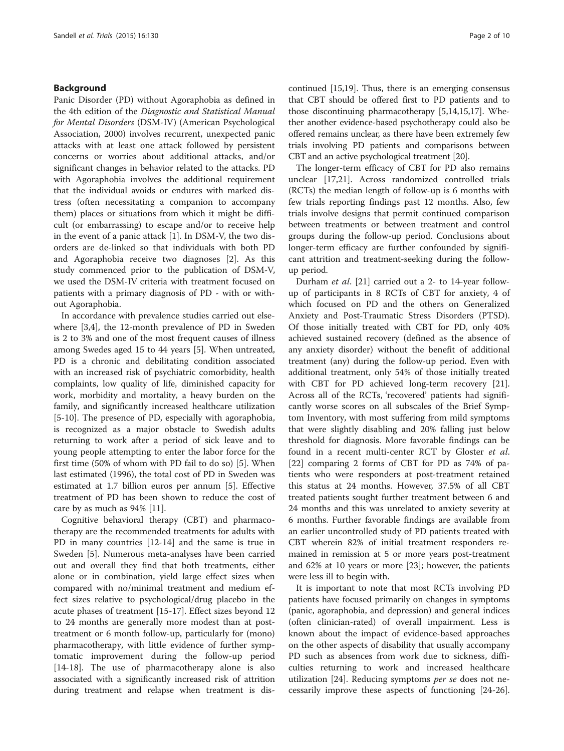# Background

Panic Disorder (PD) without Agoraphobia as defined in the 4th edition of the Diagnostic and Statistical Manual for Mental Disorders (DSM-IV) (American Psychological Association, 2000) involves recurrent, unexpected panic attacks with at least one attack followed by persistent concerns or worries about additional attacks, and/or significant changes in behavior related to the attacks. PD with Agoraphobia involves the additional requirement that the individual avoids or endures with marked distress (often necessitating a companion to accompany them) places or situations from which it might be difficult (or embarrassing) to escape and/or to receive help in the event of a panic attack [[1](#page-8-0)]. In DSM-V, the two disorders are de-linked so that individuals with both PD and Agoraphobia receive two diagnoses [\[2\]](#page-8-0). As this study commenced prior to the publication of DSM-V, we used the DSM-IV criteria with treatment focused on patients with a primary diagnosis of PD - with or without Agoraphobia.

In accordance with prevalence studies carried out elsewhere [\[3](#page-8-0),[4](#page-8-0)], the 12-month prevalence of PD in Sweden is 2 to 3% and one of the most frequent causes of illness among Swedes aged 15 to 44 years [\[5](#page-8-0)]. When untreated, PD is a chronic and debilitating condition associated with an increased risk of psychiatric comorbidity, health complaints, low quality of life, diminished capacity for work, morbidity and mortality, a heavy burden on the family, and significantly increased healthcare utilization [[5-10](#page-8-0)]. The presence of PD, especially with agoraphobia, is recognized as a major obstacle to Swedish adults returning to work after a period of sick leave and to young people attempting to enter the labor force for the first time (50% of whom with PD fail to do so) [\[5](#page-8-0)]. When last estimated (1996), the total cost of PD in Sweden was estimated at 1.7 billion euros per annum [[5\]](#page-8-0). Effective treatment of PD has been shown to reduce the cost of care by as much as 94% [\[11](#page-8-0)].

Cognitive behavioral therapy (CBT) and pharmacotherapy are the recommended treatments for adults with PD in many countries [\[12](#page-8-0)-[14\]](#page-8-0) and the same is true in Sweden [[5\]](#page-8-0). Numerous meta-analyses have been carried out and overall they find that both treatments, either alone or in combination, yield large effect sizes when compared with no/minimal treatment and medium effect sizes relative to psychological/drug placebo in the acute phases of treatment [\[15](#page-8-0)-[17\]](#page-8-0). Effect sizes beyond 12 to 24 months are generally more modest than at posttreatment or 6 month follow-up, particularly for (mono) pharmacotherapy, with little evidence of further symptomatic improvement during the follow-up period [[14-](#page-8-0)[18](#page-9-0)]. The use of pharmacotherapy alone is also associated with a significantly increased risk of attrition during treatment and relapse when treatment is discontinued [[15](#page-8-0),[19](#page-9-0)]. Thus, there is an emerging consensus that CBT should be offered first to PD patients and to those discontinuing pharmacotherapy [\[5,14,15,17](#page-8-0)]. Whether another evidence-based psychotherapy could also be offered remains unclear, as there have been extremely few trials involving PD patients and comparisons between CBT and an active psychological treatment [\[20](#page-9-0)].

The longer-term efficacy of CBT for PD also remains unclear [\[17](#page-8-0)[,21\]](#page-9-0). Across randomized controlled trials (RCTs) the median length of follow-up is 6 months with few trials reporting findings past 12 months. Also, few trials involve designs that permit continued comparison between treatments or between treatment and control groups during the follow-up period. Conclusions about longer-term efficacy are further confounded by significant attrition and treatment-seeking during the followup period.

Durham et al. [\[21](#page-9-0)] carried out a 2- to 14-year followup of participants in 8 RCTs of CBT for anxiety, 4 of which focused on PD and the others on Generalized Anxiety and Post-Traumatic Stress Disorders (PTSD). Of those initially treated with CBT for PD, only 40% achieved sustained recovery (defined as the absence of any anxiety disorder) without the benefit of additional treatment (any) during the follow-up period. Even with additional treatment, only 54% of those initially treated with CBT for PD achieved long-term recovery [\[21](#page-9-0)]. Across all of the RCTs, 'recovered' patients had significantly worse scores on all subscales of the Brief Symptom Inventory, with most suffering from mild symptoms that were slightly disabling and 20% falling just below threshold for diagnosis. More favorable findings can be found in a recent multi-center RCT by Gloster et al. [[22\]](#page-9-0) comparing 2 forms of CBT for PD as 74% of patients who were responders at post-treatment retained this status at 24 months. However, 37.5% of all CBT treated patients sought further treatment between 6 and 24 months and this was unrelated to anxiety severity at 6 months. Further favorable findings are available from an earlier uncontrolled study of PD patients treated with CBT wherein 82% of initial treatment responders remained in remission at 5 or more years post-treatment and 62% at 10 years or more [\[23\]](#page-9-0); however, the patients were less ill to begin with.

It is important to note that most RCTs involving PD patients have focused primarily on changes in symptoms (panic, agoraphobia, and depression) and general indices (often clinician-rated) of overall impairment. Less is known about the impact of evidence-based approaches on the other aspects of disability that usually accompany PD such as absences from work due to sickness, difficulties returning to work and increased healthcare utilization [[24](#page-9-0)]. Reducing symptoms per se does not necessarily improve these aspects of functioning [\[24-26](#page-9-0)].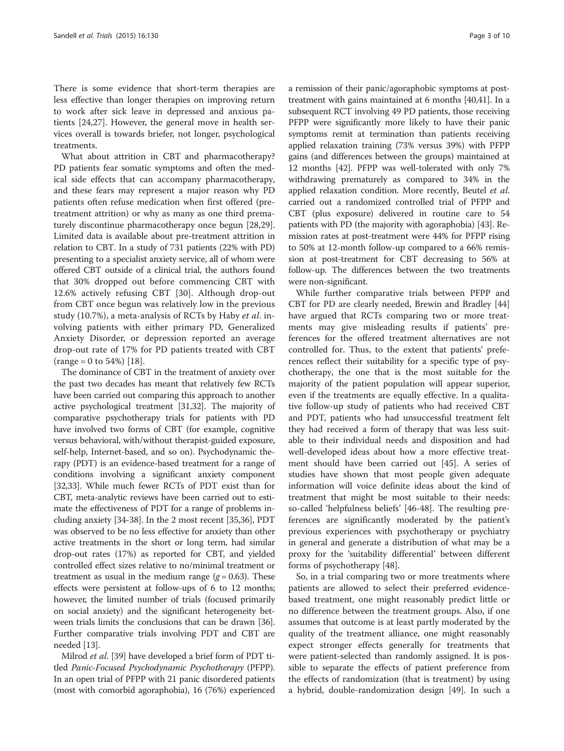There is some evidence that short-term therapies are less effective than longer therapies on improving return to work after sick leave in depressed and anxious patients [\[24,27\]](#page-9-0). However, the general move in health services overall is towards briefer, not longer, psychological treatments.

What about attrition in CBT and pharmacotherapy? PD patients fear somatic symptoms and often the medical side effects that can accompany pharmacotherapy, and these fears may represent a major reason why PD patients often refuse medication when first offered (pretreatment attrition) or why as many as one third prematurely discontinue pharmacotherapy once begun [\[28,29](#page-9-0)]. Limited data is available about pre-treatment attrition in relation to CBT. In a study of 731 patients (22% with PD) presenting to a specialist anxiety service, all of whom were offered CBT outside of a clinical trial, the authors found that 30% dropped out before commencing CBT with 12.6% actively refusing CBT [[30\]](#page-9-0). Although drop-out from CBT once begun was relatively low in the previous study (10.7%), a meta-analysis of RCTs by Haby et al. involving patients with either primary PD, Generalized Anxiety Disorder, or depression reported an average drop-out rate of 17% for PD patients treated with CBT  $(range = 0 to 54%) [18].$  $(range = 0 to 54%) [18].$  $(range = 0 to 54%) [18].$ 

The dominance of CBT in the treatment of anxiety over the past two decades has meant that relatively few RCTs have been carried out comparing this approach to another active psychological treatment [\[31,32](#page-9-0)]. The majority of comparative psychotherapy trials for patients with PD have involved two forms of CBT (for example, cognitive versus behavioral, with/without therapist-guided exposure, self-help, Internet-based, and so on). Psychodynamic therapy (PDT) is an evidence-based treatment for a range of conditions involving a significant anxiety component [[32,33](#page-9-0)]. While much fewer RCTs of PDT exist than for CBT, meta-analytic reviews have been carried out to estimate the effectiveness of PDT for a range of problems including anxiety [\[34](#page-9-0)-[38](#page-9-0)]. In the 2 most recent [\[35,36\]](#page-9-0), PDT was observed to be no less effective for anxiety than other active treatments in the short or long term, had similar drop-out rates (17%) as reported for CBT, and yielded controlled effect sizes relative to no/minimal treatment or treatment as usual in the medium range  $(g = 0.63)$ . These effects were persistent at follow-ups of 6 to 12 months; however, the limited number of trials (focused primarily on social anxiety) and the significant heterogeneity between trials limits the conclusions that can be drawn [[36](#page-9-0)]. Further comparative trials involving PDT and CBT are needed [[13\]](#page-8-0).

Milrod *et al.* [\[39](#page-9-0)] have developed a brief form of PDT titled Panic-Focused Psychodynamic Psychotherapy (PFPP). In an open trial of PFPP with 21 panic disordered patients (most with comorbid agoraphobia), 16 (76%) experienced

a remission of their panic/agoraphobic symptoms at posttreatment with gains maintained at 6 months [\[40,41\]](#page-9-0). In a subsequent RCT involving 49 PD patients, those receiving PFPP were significantly more likely to have their panic symptoms remit at termination than patients receiving applied relaxation training (73% versus 39%) with PFPP gains (and differences between the groups) maintained at 12 months [[42](#page-9-0)]. PFPP was well-tolerated with only 7% withdrawing prematurely as compared to 34% in the applied relaxation condition. More recently, Beutel et al. carried out a randomized controlled trial of PFPP and CBT (plus exposure) delivered in routine care to 54 patients with PD (the majority with agoraphobia) [\[43\]](#page-9-0). Remission rates at post-treatment were 44% for PFPP rising to 50% at 12-month follow-up compared to a 66% remission at post-treatment for CBT decreasing to 56% at follow-up. The differences between the two treatments were non-significant.

While further comparative trials between PFPP and CBT for PD are clearly needed, Brewin and Bradley [[44](#page-9-0)] have argued that RCTs comparing two or more treatments may give misleading results if patients' preferences for the offered treatment alternatives are not controlled for. Thus, to the extent that patients' preferences reflect their suitability for a specific type of psychotherapy, the one that is the most suitable for the majority of the patient population will appear superior, even if the treatments are equally effective. In a qualitative follow-up study of patients who had received CBT and PDT, patients who had unsuccessful treatment felt they had received a form of therapy that was less suitable to their individual needs and disposition and had well-developed ideas about how a more effective treatment should have been carried out [\[45](#page-9-0)]. A series of studies have shown that most people given adequate information will voice definite ideas about the kind of treatment that might be most suitable to their needs: so-called 'helpfulness beliefs' [\[46](#page-9-0)-[48](#page-9-0)]. The resulting preferences are significantly moderated by the patient's previous experiences with psychotherapy or psychiatry in general and generate a distribution of what may be a proxy for the 'suitability differential' between different forms of psychotherapy [\[48\]](#page-9-0).

So, in a trial comparing two or more treatments where patients are allowed to select their preferred evidencebased treatment, one might reasonably predict little or no difference between the treatment groups. Also, if one assumes that outcome is at least partly moderated by the quality of the treatment alliance, one might reasonably expect stronger effects generally for treatments that were patient-selected than randomly assigned. It is possible to separate the effects of patient preference from the effects of randomization (that is treatment) by using a hybrid, double-randomization design [\[49\]](#page-9-0). In such a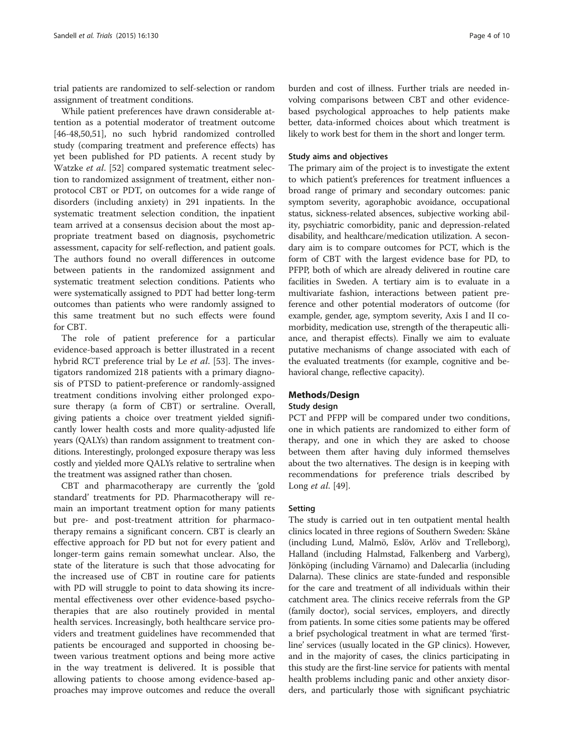trial patients are randomized to self-selection or random assignment of treatment conditions.

While patient preferences have drawn considerable attention as a potential moderator of treatment outcome [[46-48,50,51\]](#page-9-0), no such hybrid randomized controlled study (comparing treatment and preference effects) has yet been published for PD patients. A recent study by Watzke et al. [\[52](#page-9-0)] compared systematic treatment selection to randomized assignment of treatment, either nonprotocol CBT or PDT, on outcomes for a wide range of disorders (including anxiety) in 291 inpatients. In the systematic treatment selection condition, the inpatient team arrived at a consensus decision about the most appropriate treatment based on diagnosis, psychometric assessment, capacity for self-reflection, and patient goals. The authors found no overall differences in outcome between patients in the randomized assignment and systematic treatment selection conditions. Patients who were systematically assigned to PDT had better long-term outcomes than patients who were randomly assigned to this same treatment but no such effects were found for CBT.

The role of patient preference for a particular evidence-based approach is better illustrated in a recent hybrid RCT preference trial by Le et al. [\[53](#page-9-0)]. The investigators randomized 218 patients with a primary diagnosis of PTSD to patient-preference or randomly-assigned treatment conditions involving either prolonged exposure therapy (a form of CBT) or sertraline. Overall, giving patients a choice over treatment yielded significantly lower health costs and more quality-adjusted life years (QALYs) than random assignment to treatment conditions. Interestingly, prolonged exposure therapy was less costly and yielded more QALYs relative to sertraline when the treatment was assigned rather than chosen.

CBT and pharmacotherapy are currently the 'gold standard' treatments for PD. Pharmacotherapy will remain an important treatment option for many patients but pre- and post-treatment attrition for pharmacotherapy remains a significant concern. CBT is clearly an effective approach for PD but not for every patient and longer-term gains remain somewhat unclear. Also, the state of the literature is such that those advocating for the increased use of CBT in routine care for patients with PD will struggle to point to data showing its incremental effectiveness over other evidence-based psychotherapies that are also routinely provided in mental health services. Increasingly, both healthcare service providers and treatment guidelines have recommended that patients be encouraged and supported in choosing between various treatment options and being more active in the way treatment is delivered. It is possible that allowing patients to choose among evidence-based approaches may improve outcomes and reduce the overall

burden and cost of illness. Further trials are needed involving comparisons between CBT and other evidencebased psychological approaches to help patients make better, data-informed choices about which treatment is likely to work best for them in the short and longer term.

#### Study aims and objectives

The primary aim of the project is to investigate the extent to which patient's preferences for treatment influences a broad range of primary and secondary outcomes: panic symptom severity, agoraphobic avoidance, occupational status, sickness-related absences, subjective working ability, psychiatric comorbidity, panic and depression-related disability, and healthcare/medication utilization. A secondary aim is to compare outcomes for PCT, which is the form of CBT with the largest evidence base for PD, to PFPP, both of which are already delivered in routine care facilities in Sweden. A tertiary aim is to evaluate in a multivariate fashion, interactions between patient preference and other potential moderators of outcome (for example, gender, age, symptom severity, Axis I and II comorbidity, medication use, strength of the therapeutic alliance, and therapist effects). Finally we aim to evaluate putative mechanisms of change associated with each of the evaluated treatments (for example, cognitive and behavioral change, reflective capacity).

# Methods/Design

# Study design

PCT and PFPP will be compared under two conditions, one in which patients are randomized to either form of therapy, and one in which they are asked to choose between them after having duly informed themselves about the two alternatives. The design is in keeping with recommendations for preference trials described by Long et al. [[49\]](#page-9-0).

# Setting

The study is carried out in ten outpatient mental health clinics located in three regions of Southern Sweden: Skåne (including Lund, Malmö, Eslöv, Arlöv and Trelleborg), Halland (including Halmstad, Falkenberg and Varberg), Jönköping (including Värnamo) and Dalecarlia (including Dalarna). These clinics are state-funded and responsible for the care and treatment of all individuals within their catchment area. The clinics receive referrals from the GP (family doctor), social services, employers, and directly from patients. In some cities some patients may be offered a brief psychological treatment in what are termed 'firstline' services (usually located in the GP clinics). However, and in the majority of cases, the clinics participating in this study are the first-line service for patients with mental health problems including panic and other anxiety disorders, and particularly those with significant psychiatric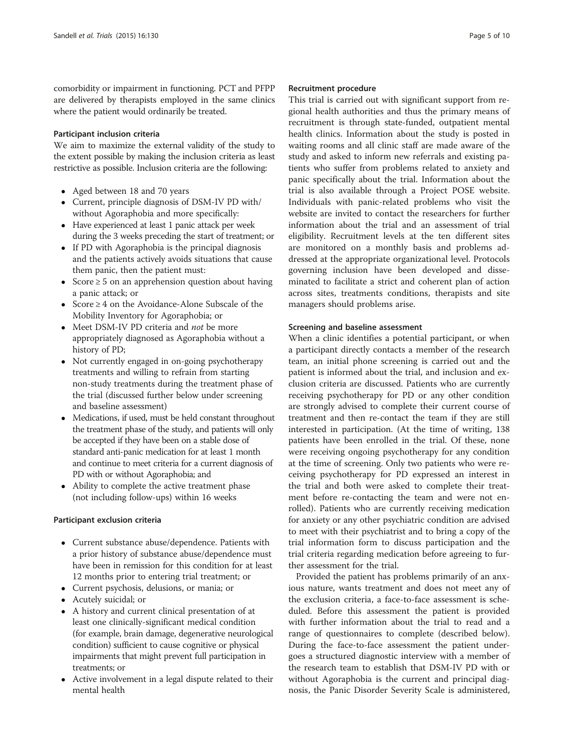comorbidity or impairment in functioning. PCT and PFPP are delivered by therapists employed in the same clinics where the patient would ordinarily be treated.

# Participant inclusion criteria

We aim to maximize the external validity of the study to the extent possible by making the inclusion criteria as least restrictive as possible. Inclusion criteria are the following:

- Aged between 18 and 70 years
- Current, principle diagnosis of DSM-IV PD with/ without Agoraphobia and more specifically:
- Have experienced at least 1 panic attack per week during the 3 weeks preceding the start of treatment; or
- If PD with Agoraphobia is the principal diagnosis and the patients actively avoids situations that cause them panic, then the patient must:
- Score  $\geq 5$  on an apprehension question about having a panic attack; or
- Score ≥ 4 on the Avoidance-Alone Subscale of the Mobility Inventory for Agoraphobia; or
- Meet DSM-IV PD criteria and not be more appropriately diagnosed as Agoraphobia without a history of PD;
- Not currently engaged in on-going psychotherapy treatments and willing to refrain from starting non-study treatments during the treatment phase of the trial (discussed further below under screening and baseline assessment)
- Medications, if used, must be held constant throughout the treatment phase of the study, and patients will only be accepted if they have been on a stable dose of standard anti-panic medication for at least 1 month and continue to meet criteria for a current diagnosis of PD with or without Agoraphobia; and
- Ability to complete the active treatment phase (not including follow-ups) within 16 weeks

# Participant exclusion criteria

- Current substance abuse/dependence. Patients with a prior history of substance abuse/dependence must have been in remission for this condition for at least 12 months prior to entering trial treatment; or
- Current psychosis, delusions, or mania; or
- Acutely suicidal; or
- A history and current clinical presentation of at least one clinically-significant medical condition (for example, brain damage, degenerative neurological condition) sufficient to cause cognitive or physical impairments that might prevent full participation in treatments; or
- Active involvement in a legal dispute related to their mental health

#### Recruitment procedure

This trial is carried out with significant support from regional health authorities and thus the primary means of recruitment is through state-funded, outpatient mental health clinics. Information about the study is posted in waiting rooms and all clinic staff are made aware of the study and asked to inform new referrals and existing patients who suffer from problems related to anxiety and panic specifically about the trial. Information about the trial is also available through a Project POSE website. Individuals with panic-related problems who visit the website are invited to contact the researchers for further information about the trial and an assessment of trial eligibility. Recruitment levels at the ten different sites are monitored on a monthly basis and problems addressed at the appropriate organizational level. Protocols governing inclusion have been developed and disseminated to facilitate a strict and coherent plan of action across sites, treatments conditions, therapists and site managers should problems arise.

# Screening and baseline assessment

When a clinic identifies a potential participant, or when a participant directly contacts a member of the research team, an initial phone screening is carried out and the patient is informed about the trial, and inclusion and exclusion criteria are discussed. Patients who are currently receiving psychotherapy for PD or any other condition are strongly advised to complete their current course of treatment and then re-contact the team if they are still interested in participation. (At the time of writing, 138 patients have been enrolled in the trial. Of these, none were receiving ongoing psychotherapy for any condition at the time of screening. Only two patients who were receiving psychotherapy for PD expressed an interest in the trial and both were asked to complete their treatment before re-contacting the team and were not enrolled). Patients who are currently receiving medication for anxiety or any other psychiatric condition are advised to meet with their psychiatrist and to bring a copy of the trial information form to discuss participation and the trial criteria regarding medication before agreeing to further assessment for the trial.

Provided the patient has problems primarily of an anxious nature, wants treatment and does not meet any of the exclusion criteria, a face-to-face assessment is scheduled. Before this assessment the patient is provided with further information about the trial to read and a range of questionnaires to complete (described below). During the face-to-face assessment the patient undergoes a structured diagnostic interview with a member of the research team to establish that DSM-IV PD with or without Agoraphobia is the current and principal diagnosis, the Panic Disorder Severity Scale is administered,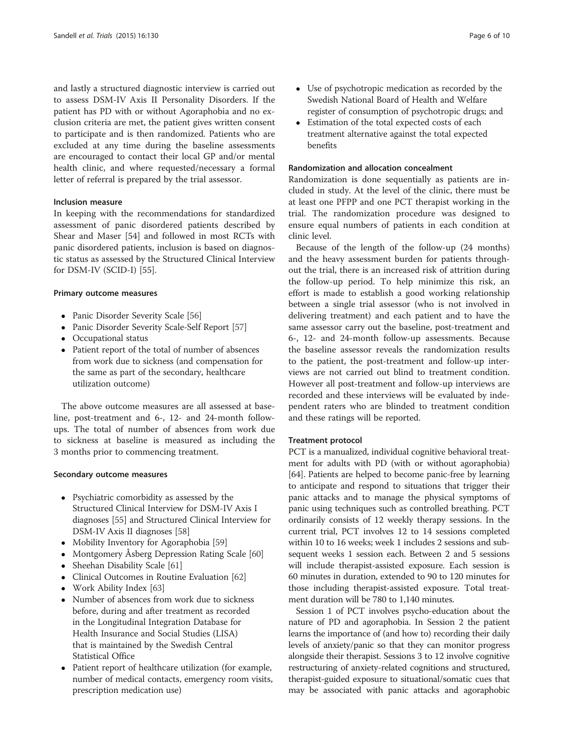and lastly a structured diagnostic interview is carried out to assess DSM-IV Axis II Personality Disorders. If the patient has PD with or without Agoraphobia and no exclusion criteria are met, the patient gives written consent to participate and is then randomized. Patients who are excluded at any time during the baseline assessments are encouraged to contact their local GP and/or mental health clinic, and where requested/necessary a formal letter of referral is prepared by the trial assessor.

#### Inclusion measure

In keeping with the recommendations for standardized assessment of panic disordered patients described by Shear and Maser [\[54](#page-9-0)] and followed in most RCTs with panic disordered patients, inclusion is based on diagnostic status as assessed by the Structured Clinical Interview for DSM-IV (SCID-I) [\[55](#page-9-0)].

#### Primary outcome measures

- Panic Disorder Severity Scale [[56](#page-9-0)]
- Panic Disorder Severity Scale-Self Report [\[57\]](#page-9-0)
- Occupational status
- Patient report of the total of number of absences from work due to sickness (and compensation for the same as part of the secondary, healthcare utilization outcome)

The above outcome measures are all assessed at baseline, post-treatment and 6-, 12- and 24-month followups. The total of number of absences from work due to sickness at baseline is measured as including the 3 months prior to commencing treatment.

#### Secondary outcome measures

- Psychiatric comorbidity as assessed by the Structured Clinical Interview for DSM-IV Axis I diagnoses [\[55\]](#page-9-0) and Structured Clinical Interview for DSM-IV Axis II diagnoses [[58\]](#page-9-0)
- Mobility Inventory for Agoraphobia [[59](#page-9-0)]
- Montgomery Asberg Depression Rating Scale [\[60\]](#page-9-0)
- Sheehan Disability Scale [\[61\]](#page-9-0)
- Clinical Outcomes in Routine Evaluation [[62](#page-9-0)]
- Work Ability Index [\[63\]](#page-9-0)
- Number of absences from work due to sickness before, during and after treatment as recorded in the Longitudinal Integration Database for Health Insurance and Social Studies (LISA) that is maintained by the Swedish Central Statistical Office
- Patient report of healthcare utilization (for example, number of medical contacts, emergency room visits, prescription medication use)
- Use of psychotropic medication as recorded by the Swedish National Board of Health and Welfare register of consumption of psychotropic drugs; and
- Estimation of the total expected costs of each treatment alternative against the total expected benefits

# Randomization and allocation concealment

Randomization is done sequentially as patients are included in study. At the level of the clinic, there must be at least one PFPP and one PCT therapist working in the trial. The randomization procedure was designed to ensure equal numbers of patients in each condition at clinic level.

Because of the length of the follow-up (24 months) and the heavy assessment burden for patients throughout the trial, there is an increased risk of attrition during the follow-up period. To help minimize this risk, an effort is made to establish a good working relationship between a single trial assessor (who is not involved in delivering treatment) and each patient and to have the same assessor carry out the baseline, post-treatment and 6-, 12- and 24-month follow-up assessments. Because the baseline assessor reveals the randomization results to the patient, the post-treatment and follow-up interviews are not carried out blind to treatment condition. However all post-treatment and follow-up interviews are recorded and these interviews will be evaluated by independent raters who are blinded to treatment condition and these ratings will be reported.

# Treatment protocol

PCT is a manualized, individual cognitive behavioral treatment for adults with PD (with or without agoraphobia) [[64](#page-9-0)]. Patients are helped to become panic-free by learning to anticipate and respond to situations that trigger their panic attacks and to manage the physical symptoms of panic using techniques such as controlled breathing. PCT ordinarily consists of 12 weekly therapy sessions. In the current trial, PCT involves 12 to 14 sessions completed within 10 to 16 weeks; week 1 includes 2 sessions and subsequent weeks 1 session each. Between 2 and 5 sessions will include therapist-assisted exposure. Each session is 60 minutes in duration, extended to 90 to 120 minutes for those including therapist-assisted exposure. Total treatment duration will be 780 to 1,140 minutes.

Session 1 of PCT involves psycho-education about the nature of PD and agoraphobia. In Session 2 the patient learns the importance of (and how to) recording their daily levels of anxiety/panic so that they can monitor progress alongside their therapist. Sessions 3 to 12 involve cognitive restructuring of anxiety-related cognitions and structured, therapist-guided exposure to situational/somatic cues that may be associated with panic attacks and agoraphobic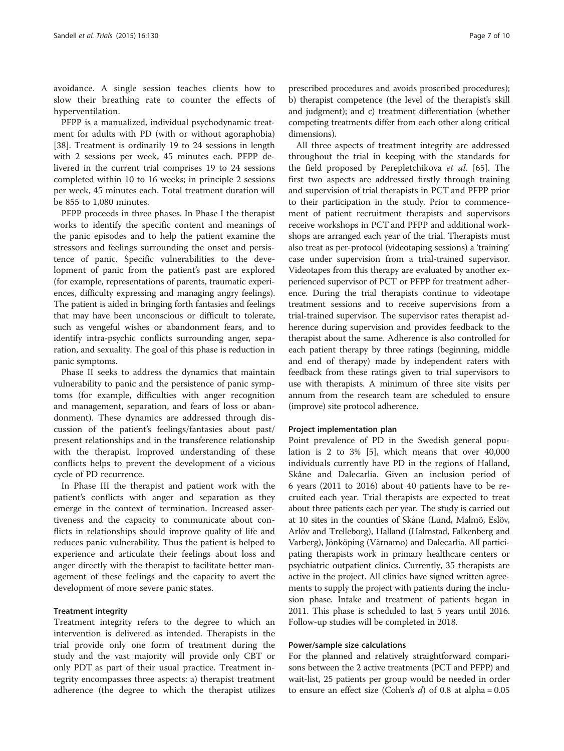avoidance. A single session teaches clients how to slow their breathing rate to counter the effects of hyperventilation.

PFPP is a manualized, individual psychodynamic treatment for adults with PD (with or without agoraphobia) [[38\]](#page-9-0). Treatment is ordinarily 19 to 24 sessions in length with 2 sessions per week, 45 minutes each. PFPP delivered in the current trial comprises 19 to 24 sessions completed within 10 to 16 weeks; in principle 2 sessions per week, 45 minutes each. Total treatment duration will be 855 to 1,080 minutes.

PFPP proceeds in three phases. In Phase I the therapist works to identify the specific content and meanings of the panic episodes and to help the patient examine the stressors and feelings surrounding the onset and persistence of panic. Specific vulnerabilities to the development of panic from the patient's past are explored (for example, representations of parents, traumatic experiences, difficulty expressing and managing angry feelings). The patient is aided in bringing forth fantasies and feelings that may have been unconscious or difficult to tolerate, such as vengeful wishes or abandonment fears, and to identify intra-psychic conflicts surrounding anger, separation, and sexuality. The goal of this phase is reduction in panic symptoms.

Phase II seeks to address the dynamics that maintain vulnerability to panic and the persistence of panic symptoms (for example, difficulties with anger recognition and management, separation, and fears of loss or abandonment). These dynamics are addressed through discussion of the patient's feelings/fantasies about past/ present relationships and in the transference relationship with the therapist. Improved understanding of these conflicts helps to prevent the development of a vicious cycle of PD recurrence.

In Phase III the therapist and patient work with the patient's conflicts with anger and separation as they emerge in the context of termination. Increased assertiveness and the capacity to communicate about conflicts in relationships should improve quality of life and reduces panic vulnerability. Thus the patient is helped to experience and articulate their feelings about loss and anger directly with the therapist to facilitate better management of these feelings and the capacity to avert the development of more severe panic states.

# Treatment integrity

Treatment integrity refers to the degree to which an intervention is delivered as intended. Therapists in the trial provide only one form of treatment during the study and the vast majority will provide only CBT or only PDT as part of their usual practice. Treatment integrity encompasses three aspects: a) therapist treatment adherence (the degree to which the therapist utilizes

prescribed procedures and avoids proscribed procedures); b) therapist competence (the level of the therapist's skill and judgment); and c) treatment differentiation (whether competing treatments differ from each other along critical dimensions).

All three aspects of treatment integrity are addressed throughout the trial in keeping with the standards for the field proposed by Perepletchikova et al. [\[65](#page-9-0)]. The first two aspects are addressed firstly through training and supervision of trial therapists in PCT and PFPP prior to their participation in the study. Prior to commencement of patient recruitment therapists and supervisors receive workshops in PCT and PFPP and additional workshops are arranged each year of the trial. Therapists must also treat as per-protocol (videotaping sessions) a 'training' case under supervision from a trial-trained supervisor. Videotapes from this therapy are evaluated by another experienced supervisor of PCT or PFPP for treatment adherence. During the trial therapists continue to videotape treatment sessions and to receive supervisions from a trial-trained supervisor. The supervisor rates therapist adherence during supervision and provides feedback to the therapist about the same. Adherence is also controlled for each patient therapy by three ratings (beginning, middle and end of therapy) made by independent raters with feedback from these ratings given to trial supervisors to use with therapists. A minimum of three site visits per annum from the research team are scheduled to ensure (improve) site protocol adherence.

#### Project implementation plan

Point prevalence of PD in the Swedish general population is 2 to 3% [[5\]](#page-8-0), which means that over 40,000 individuals currently have PD in the regions of Halland, Skåne and Dalecarlia. Given an inclusion period of 6 years (2011 to 2016) about 40 patients have to be recruited each year. Trial therapists are expected to treat about three patients each per year. The study is carried out at 10 sites in the counties of Skåne (Lund, Malmö, Eslöv, Arlöv and Trelleborg), Halland (Halmstad, Falkenberg and Varberg), Jönköping (Värnamo) and Dalecarlia. All participating therapists work in primary healthcare centers or psychiatric outpatient clinics. Currently, 35 therapists are active in the project. All clinics have signed written agreements to supply the project with patients during the inclusion phase. Intake and treatment of patients began in 2011. This phase is scheduled to last 5 years until 2016. Follow-up studies will be completed in 2018.

# Power/sample size calculations

For the planned and relatively straightforward comparisons between the 2 active treatments (PCT and PFPP) and wait-list, 25 patients per group would be needed in order to ensure an effect size (Cohen's  $d$ ) of 0.8 at alpha = 0.05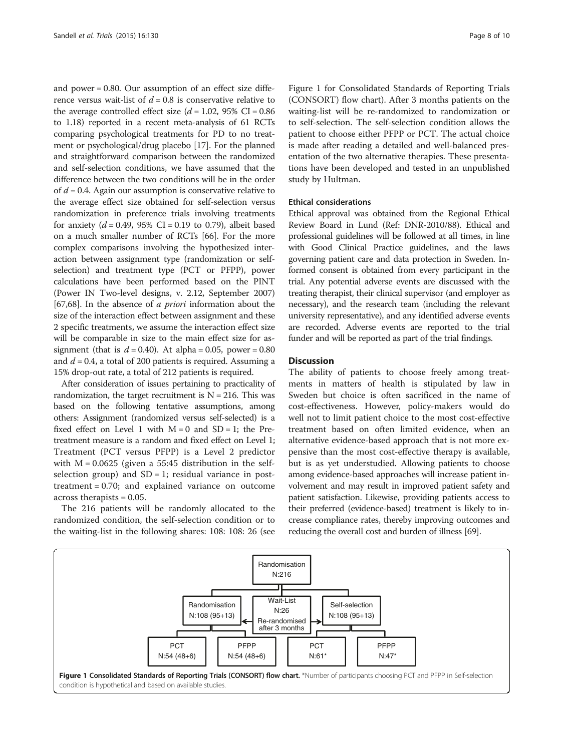and power = 0.80. Our assumption of an effect size difference versus wait-list of  $d = 0.8$  is conservative relative to the average controlled effect size  $(d = 1.02, 95\% \text{ CI} = 0.86)$ to 1.18) reported in a recent meta-analysis of 61 RCTs comparing psychological treatments for PD to no treatment or psychological/drug placebo [[17\]](#page-8-0). For the planned and straightforward comparison between the randomized and self-selection conditions, we have assumed that the difference between the two conditions will be in the order of  $d = 0.4$ . Again our assumption is conservative relative to the average effect size obtained for self-selection versus randomization in preference trials involving treatments for anxiety ( $d = 0.49$ , 95% CI = 0.19 to 0.79), albeit based on a much smaller number of RCTs [\[66\]](#page-9-0). For the more complex comparisons involving the hypothesized interaction between assignment type (randomization or selfselection) and treatment type (PCT or PFPP), power calculations have been performed based on the PINT (Power IN Two-level designs, v. 2.12, September 2007) [[67,68](#page-9-0)]. In the absence of  $a$  priori information about the size of the interaction effect between assignment and these 2 specific treatments, we assume the interaction effect size will be comparable in size to the main effect size for assignment (that is  $d = 0.40$ ). At alpha = 0.05, power = 0.80 and  $d = 0.4$ , a total of 200 patients is required. Assuming a 15% drop-out rate, a total of 212 patients is required.

After consideration of issues pertaining to practicality of randomization, the target recruitment is  $N = 216$ . This was based on the following tentative assumptions, among others: Assignment (randomized versus self-selected) is a fixed effect on Level 1 with  $M = 0$  and  $SD = 1$ ; the Pretreatment measure is a random and fixed effect on Level 1; Treatment (PCT versus PFPP) is a Level 2 predictor with  $M = 0.0625$  (given a 55:45 distribution in the selfselection group) and  $SD = 1$ ; residual variance in posttreatment = 0.70; and explained variance on outcome across therapists = 0.05.

The 216 patients will be randomly allocated to the randomized condition, the self-selection condition or to the waiting-list in the following shares: 108: 108: 26 (see

Figure 1 for Consolidated Standards of Reporting Trials (CONSORT) flow chart). After 3 months patients on the waiting-list will be re-randomized to randomization or to self-selection. The self-selection condition allows the patient to choose either PFPP or PCT. The actual choice is made after reading a detailed and well-balanced presentation of the two alternative therapies. These presentations have been developed and tested in an unpublished study by Hultman.

#### Ethical considerations

Ethical approval was obtained from the Regional Ethical Review Board in Lund (Ref: DNR-2010/88). Ethical and professional guidelines will be followed at all times, in line with Good Clinical Practice guidelines, and the laws governing patient care and data protection in Sweden. Informed consent is obtained from every participant in the trial. Any potential adverse events are discussed with the treating therapist, their clinical supervisor (and employer as necessary), and the research team (including the relevant university representative), and any identified adverse events are recorded. Adverse events are reported to the trial funder and will be reported as part of the trial findings.

# **Discussion**

The ability of patients to choose freely among treatments in matters of health is stipulated by law in Sweden but choice is often sacrificed in the name of cost-effectiveness. However, policy-makers would do well not to limit patient choice to the most cost-effective treatment based on often limited evidence, when an alternative evidence-based approach that is not more expensive than the most cost-effective therapy is available, but is as yet understudied. Allowing patients to choose among evidence-based approaches will increase patient involvement and may result in improved patient safety and patient satisfaction. Likewise, providing patients access to their preferred (evidence-based) treatment is likely to increase compliance rates, thereby improving outcomes and reducing the overall cost and burden of illness [[69](#page-9-0)].

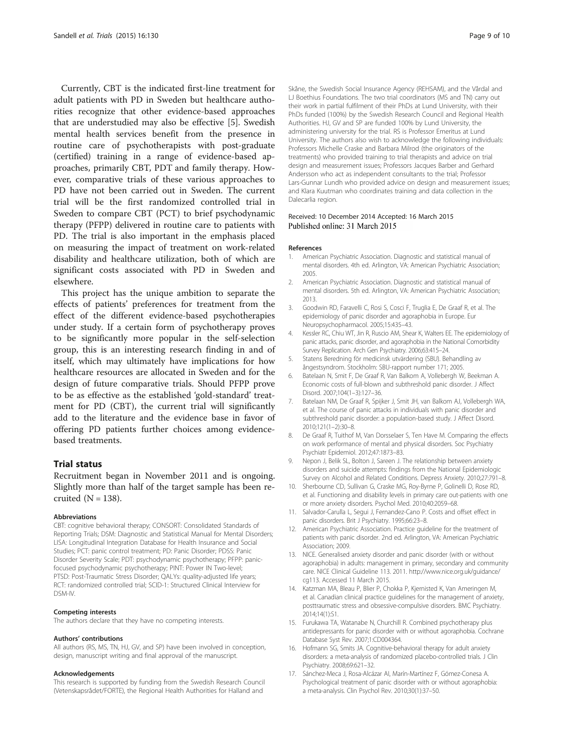<span id="page-8-0"></span>Currently, CBT is the indicated first-line treatment for adult patients with PD in Sweden but healthcare authorities recognize that other evidence-based approaches that are understudied may also be effective [5]. Swedish mental health services benefit from the presence in routine care of psychotherapists with post-graduate (certified) training in a range of evidence-based approaches, primarily CBT, PDT and family therapy. However, comparative trials of these various approaches to PD have not been carried out in Sweden. The current trial will be the first randomized controlled trial in Sweden to compare CBT (PCT) to brief psychodynamic therapy (PFPP) delivered in routine care to patients with PD. The trial is also important in the emphasis placed on measuring the impact of treatment on work-related disability and healthcare utilization, both of which are significant costs associated with PD in Sweden and elsewhere.

This project has the unique ambition to separate the effects of patients' preferences for treatment from the effect of the different evidence-based psychotherapies under study. If a certain form of psychotherapy proves to be significantly more popular in the self-selection group, this is an interesting research finding in and of itself, which may ultimately have implications for how healthcare resources are allocated in Sweden and for the design of future comparative trials. Should PFPP prove to be as effective as the established 'gold-standard' treatment for PD (CBT), the current trial will significantly add to the literature and the evidence base in favor of offering PD patients further choices among evidencebased treatments.

# Trial status

Recruitment began in November 2011 and is ongoing. Slightly more than half of the target sample has been recruited  $(N = 138)$ .

#### Abbreviations

CBT: cognitive behavioral therapy; CONSORT: Consolidated Standards of Reporting Trials; DSM: Diagnostic and Statistical Manual for Mental Disorders; LISA: Longitudinal Integration Database for Health Insurance and Social Studies; PCT: panic control treatment; PD: Panic Disorder; PDSS: Panic Disorder Severity Scale; PDT: psychodynamic psychotherapy; PFPP: panicfocused psychodynamic psychotherapy; PINT: Power IN Two-level; PTSD: Post-Traumatic Stress Disorder; QALYs: quality-adjusted life years; RCT: randomized controlled trial; SCID-1: Structured Clinical Interview for DSM-IV.

#### Competing interests

The authors declare that they have no competing interests.

#### Authors' contributions

All authors (RS, MS, TN, HJ, GV, and SP) have been involved in conception, design, manuscript writing and final approval of the manuscript.

#### Acknowledgements

This research is supported by funding from the Swedish Research Council (Vetenskapsrådet/FORTE), the Regional Health Authorities for Halland and

Skåne, the Swedish Social Insurance Agency (REHSAM), and the Vårdal and LJ Boethius Foundations. The two trial coordinators (MS and TN) carry out their work in partial fulfilment of their PhDs at Lund University, with their PhDs funded (100%) by the Swedish Research Council and Regional Health Authorities. HJ, GV and SP are funded 100% by Lund University, the administering university for the trial. RS is Professor Emeritus at Lund University. The authors also wish to acknowledge the following individuals: Professors Michelle Craske and Barbara Milrod (the originators of the treatments) who provided training to trial therapists and advice on trial design and measurement issues; Professors Jacques Barber and Gerhard Andersson who act as independent consultants to the trial; Professor Lars-Gunnar Lundh who provided advice on design and measurement issues; and Klara Kuutman who coordinates training and data collection in the Dalecarlia region.

#### Received: 10 December 2014 Accepted: 16 March 2015 Published online: 31 March 2015

#### References

- 1. American Psychiatric Association. Diagnostic and statistical manual of mental disorders. 4th ed. Arlington, VA: American Psychiatric Association; 2005.
- 2. American Psychiatric Association. Diagnostic and statistical manual of mental disorders. 5th ed. Arlington, VA: American Psychiatric Association; 2013.
- 3. Goodwin RD, Faravelli C, Rosi S, Cosci F, Truglia E, De Graaf R, et al. The epidemiology of panic disorder and agoraphobia in Europe. Eur Neuropsychopharmacol. 2005;15:435–43.
- 4. Kessler RC, Chiu WT, Jin R, Ruscio AM, Shear K, Walters EE. The epidemiology of panic attacks, panic disorder, and agoraphobia in the National Comorbidity Survey Replication. Arch Gen Psychiatry. 2006;63:415–24.
- 5. Statens Beredning för medicinsk utvärdering (SBU). Behandling av ångestsyndrom. Stockholm: SBU-rapport number 171; 2005.
- 6. Batelaan N, Smit F, De Graaf R, Van Balkom A, Vollebergh W, Beekman A. Economic costs of full-blown and subthreshold panic disorder. J Affect Disord. 2007;104(1–3):127–36.
- 7. Batelaan NM, De Graaf R, Spijker J, Smit JH, van Balkom AJ, Vollebergh WA, et al. The course of panic attacks in individuals with panic disorder and subthreshold panic disorder: a population-based study. J Affect Disord. 2010;121(1–2):30–8.
- 8. De Graaf R, Tuithof M, Van Dorsselaer S, Ten Have M. Comparing the effects on work performance of mental and physical disorders. Soc Psychiatry Psychiatr Epidemiol. 2012;47:1873–83.
- 9. Nepon J, Belik SL, Bolton J, Sareen J. The relationship between anxiety disorders and suicide attempts: findings from the National Epidemiologic Survey on Alcohol and Related Conditions. Depress Anxiety. 2010;27:791–8.
- 10. Sherbourne CD, Sullivan G, Craske MG, Roy-Byrne P, Golinelli D, Rose RD, et al. Functioning and disability levels in primary care out-patients with one or more anxiety disorders. Psychol Med. 2010;40:2059–68.
- 11. Salvador-Carulla L, Segui J, Fernandez-Cano P. Costs and offset effect in panic disorders. Brit J Psychiatry. 1995;66:23–8.
- 12. American Psychiatric Association. Practice guideline for the treatment of patients with panic disorder. 2nd ed. Arlington, VA: American Psychiatric Association; 2009.
- 13. NICE. Generalised anxiety disorder and panic disorder (with or without agoraphobia) in adults: management in primary, secondary and community care. NICE Clinical Guideline 113. 2011. [http://www.nice.org.uk/guidance/](http://www.nice.org.uk/guidance/cg113) [cg113.](http://www.nice.org.uk/guidance/cg113) Accessed 11 March 2015.
- 14. Katzman MA, Bleau P, Blier P, Chokka P, Kjernisted K, Van Ameringen M, et al. Canadian clinical practice guidelines for the management of anxiety, posttraumatic stress and obsessive-compulsive disorders. BMC Psychiatry. 2014;14(1):S1.
- 15. Furukawa TA, Watanabe N, Churchill R. Combined psychotherapy plus antidepressants for panic disorder with or without agoraphobia. Cochrane Database Syst Rev. 2007;1:CD004364.
- 16. Hofmann SG, Smits JA. Cognitive-behavioral therapy for adult anxiety disorders: a meta-analysis of randomized placebo-controlled trials. J Clin Psychiatry. 2008;69:621–32.
- 17. Sánchez-Meca J, Rosa-Alcázar AI, Marín-Martínez F, Gómez-Conesa A. Psychological treatment of panic disorder with or without agoraphobia: a meta-analysis. Clin Psychol Rev. 2010;30(1):37–50.